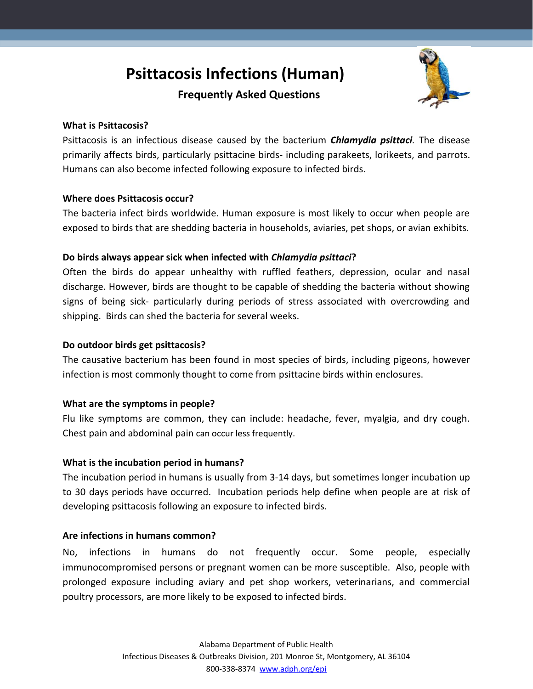# **Psittacosis Infections (Human)**

# **Frequently Asked Questions**



#### **What is Psittacosis?**

Psittacosis is an infectious disease caused by the bacterium *Chlamydia psittaci.* The disease primarily affects birds, particularly psittacine birds- including parakeets, lorikeets, and parrots. Humans can also become infected following exposure to infected birds.

# **Where does Psittacosis occur?**

The bacteria infect birds worldwide. Human exposure is most likely to occur when people are exposed to birds that are shedding bacteria in households, aviaries, pet shops, or avian exhibits.

## **Do birds always appear sick when infected with** *Chlamydia psittaci***?**

Often the birds do appear unhealthy with ruffled feathers, depression, ocular and nasal discharge. However, birds are thought to be capable of shedding the bacteria without showing signs of being sick- particularly during periods of stress associated with overcrowding and shipping. Birds can shed the bacteria for several weeks.

#### **Do outdoor birds get psittacosis?**

The causative bacterium has been found in most species of birds, including pigeons, however infection is most commonly thought to come from psittacine birds within enclosures.

#### **What are the symptoms in people?**

Flu like symptoms are common, they can include: headache, fever, myalgia, and dry cough. Chest pain and abdominal pain can occur less frequently.

#### **What is the incubation period in humans?**

The incubation period in humans is usually from 3-14 days, but sometimes longer incubation up to 30 days periods have occurred. Incubation periods help define when people are at risk of developing psittacosis following an exposure to infected birds.

# **Are infections in humans common?**

No, infections in humans do not frequently occur. Some people, especially immunocompromised persons or pregnant women can be more susceptible. Also, people with prolonged exposure including aviary and pet shop workers, veterinarians, and commercial poultry processors, are more likely to be exposed to infected birds.